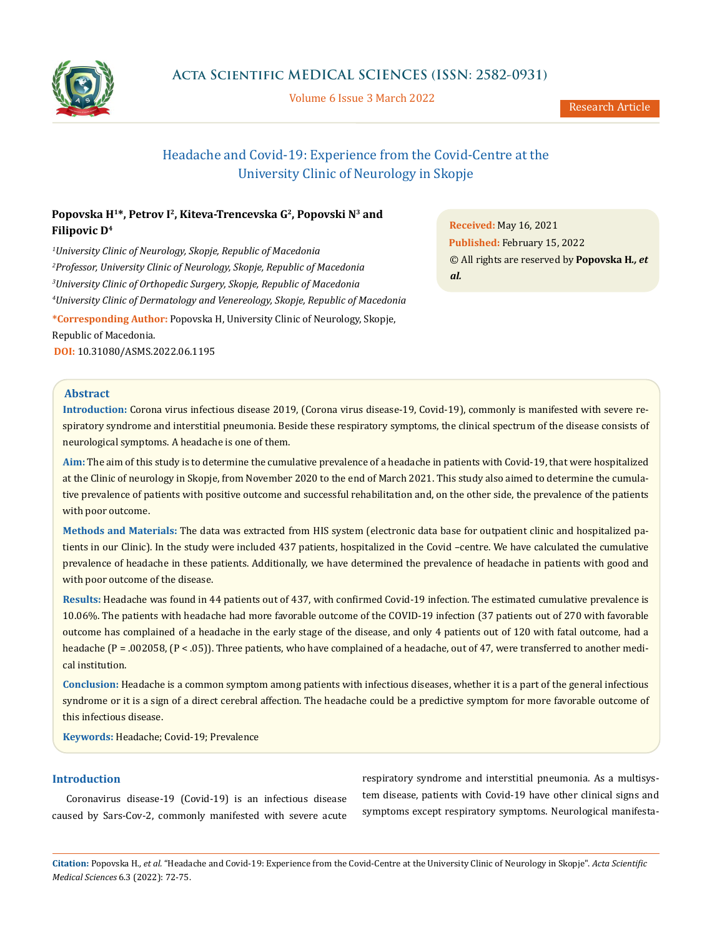

Volume 6 Issue 3 March 2022

# Headache and Covid-19: Experience from the Covid-Centre at the University Clinic of Neurology in Skopje

## Popovska H<sup>1\*</sup>, Petrov I<sup>2</sup>, Kiteva-Trencevska G<sup>2</sup>, Popovski N<sup>3</sup> and **Filipovic D4**

 *University Clinic of Neurology, Skopje, Republic of Macedonia Professor, University Clinic of Neurology, Skopje, Republic of Macedonia University Clinic of Orthopedic Surgery, Skopje, Republic of Macedonia University Clinic of Dermatology and Venereology, Skopje, Republic of Macedonia* **\*Corresponding Author:** Popovska H, University Clinic of Neurology, Skopje,

Republic of Macedonia.

**DOI:** [10.31080/ASMS.2022.06.1195](https://actascientific.com/ASMS/pdf/ASMS-06-1195.pdf)

**Received:** May 16, 2021 **Published:** February 15, 2022 © All rights are reserved by **Popovska H***., et al.* 

## **Abstract**

**Introduction:** Corona virus infectious disease 2019, (Corona virus disease-19, Covid-19), commonly is manifested with severe respiratory syndrome and interstitial pneumonia. Beside these respiratory symptoms, the clinical spectrum of the disease consists of neurological symptoms. A headache is one of them.

**Aim:** The aim of this study is to determine the cumulative prevalence of a headache in patients with Covid-19, that were hospitalized at the Clinic of neurology in Skopje, from November 2020 to the end of March 2021. This study also aimed to determine the cumulative prevalence of patients with positive outcome and successful rehabilitation and, on the other side, the prevalence of the patients with poor outcome.

**Methods and Materials:** The data was extracted from HIS system (electronic data base for outpatient clinic and hospitalized patients in our Clinic). In the study were included 437 patients, hospitalized in the Covid –centre. We have calculated the cumulative prevalence of headache in these patients. Additionally, we have determined the prevalence of headache in patients with good and with poor outcome of the disease.

**Results:** Headache was found in 44 patients out of 437, with confirmed Covid-19 infection. The estimated cumulative prevalence is 10.06%. The patients with headache had more favorable outcome of the COVID-19 infection (37 patients out of 270 with favorable outcome has complained of a headache in the early stage of the disease, and only 4 patients out of 120 with fatal outcome, had a headache (P = .002058, (P < .05)). Three patients, who have complained of a headache, out of 47, were transferred to another medical institution.

**Conclusion:** Headache is a common symptom among patients with infectious diseases, whether it is a part of the general infectious syndrome or it is a sign of a direct cerebral affection. The headache could be a predictive symptom for more favorable outcome of this infectious disease.

**Keywords:** Headache; Covid-19; Prevalence

## **Introduction**

Coronavirus disease-19 (Covid-19) is an infectious disease caused by Sars-Cov-2, commonly manifested with severe acute

respiratory syndrome and interstitial pneumonia. As a multisystem disease, patients with Covid-19 have other clinical signs and symptoms except respiratory symptoms. Neurological manifesta-

**Citation:** Popovska H*., et al.* "Headache and Covid-19: Experience from the Covid-Centre at the University Clinic of Neurology in Skopje". *Acta Scientific Medical Sciences* 6.3 (2022): 72-75.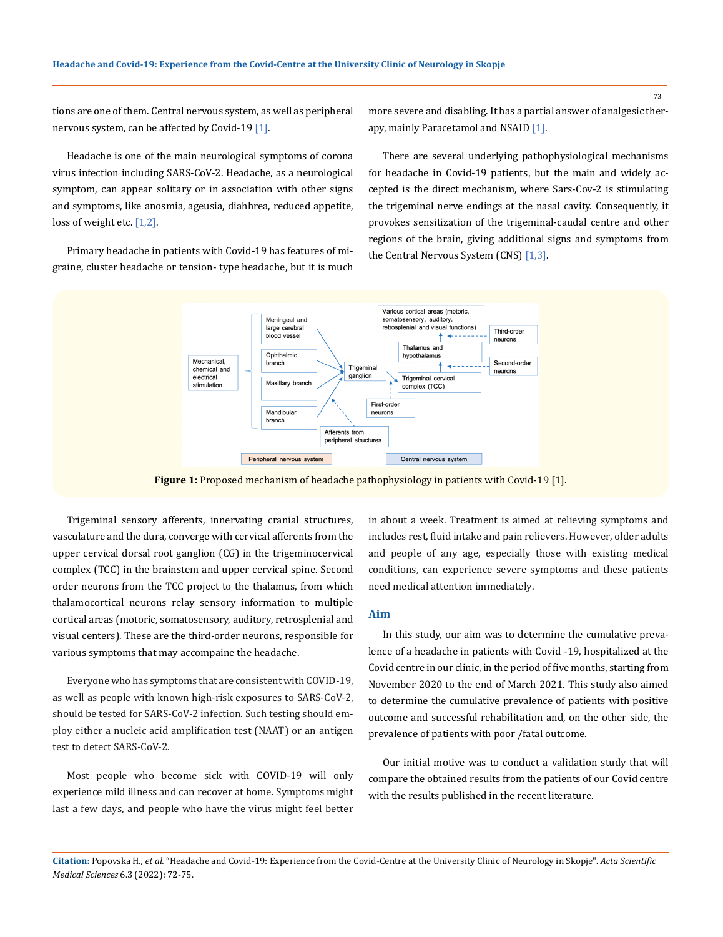tions are one of them. Central nervous system, as well as peripheral nervous system, can be affected by Covid-19  $[1]$ .

Headache is one of the main neurological symptoms of corona virus infection including SARS-CoV-2. Headache, as a neurological symptom, can appear solitary or in association with other signs and symptoms, like anosmia, ageusia, diahhrea, reduced appetite, loss of weight etc. [1,2].

Primary headache in patients with Covid-19 has features of migraine, cluster headache or tension- type headache, but it is much more severe and disabling. It has a partial answer of analgesic therapy, mainly Paracetamol and NSAID [1].

There are several underlying pathophysiological mechanisms for headache in Covid-19 patients, but the main and widely accepted is the direct mechanism, where Sars-Cov-2 is stimulating the trigeminal nerve endings at the nasal cavity. Consequently, it provokes sensitization of the trigeminal-caudal centre and other regions of the brain, giving additional signs and symptoms from the Central Nervous System (CNS) [1,3].



**Figure 1:** Proposed mechanism of headache pathophysiology in patients with Covid-19 [1].

Trigeminal sensory afferents, innervating cranial structures, vasculature and the dura, converge with cervical afferents from the upper cervical dorsal root ganglion (CG) in the trigeminocervical complex (TCC) in the brainstem and upper cervical spine. Second order neurons from the TCC project to the thalamus, from which thalamocortical neurons relay sensory information to multiple cortical areas (motoric, somatosensory, auditory, retrosplenial and visual centers). These are the third-order neurons, responsible for various symptoms that may accompaine the headache.

Everyone who has symptoms that are consistent with COVID-19, as well as people with known high-risk exposures to SARS-CoV-2, should be tested for SARS-CoV-2 infection. Such testing should employ either a nucleic acid amplification test (NAAT) or an antigen test to detect SARS-CoV-2.

Most people who become sick with COVID-19 will only experience mild illness and can recover at home. Symptoms might last a few days, and people who have the virus might feel better in about a week. Treatment is aimed at relieving symptoms and includes rest, fluid intake and pain relievers. However, older adults and people of any age, especially those with existing medical conditions, can experience severe symptoms and these patients need medical attention immediately.

#### **Aim**

In this study, our aim was to determine the cumulative prevalence of a headache in patients with Covid -19, hospitalized at the Covid centre in our clinic, in the period of five months, starting from November 2020 to the end of March 2021. This study also aimed to determine the cumulative prevalence of patients with positive outcome and successful rehabilitation and, on the other side, the prevalence of patients with poor /fatal outcome.

Our initial motive was to conduct a validation study that will compare the obtained results from the patients of our Covid centre with the results published in the recent literature.

73

**Citation:** Popovska H*., et al.* "Headache and Covid-19: Experience from the Covid-Centre at the University Clinic of Neurology in Skopje". *Acta Scientific Medical Sciences* 6.3 (2022): 72-75.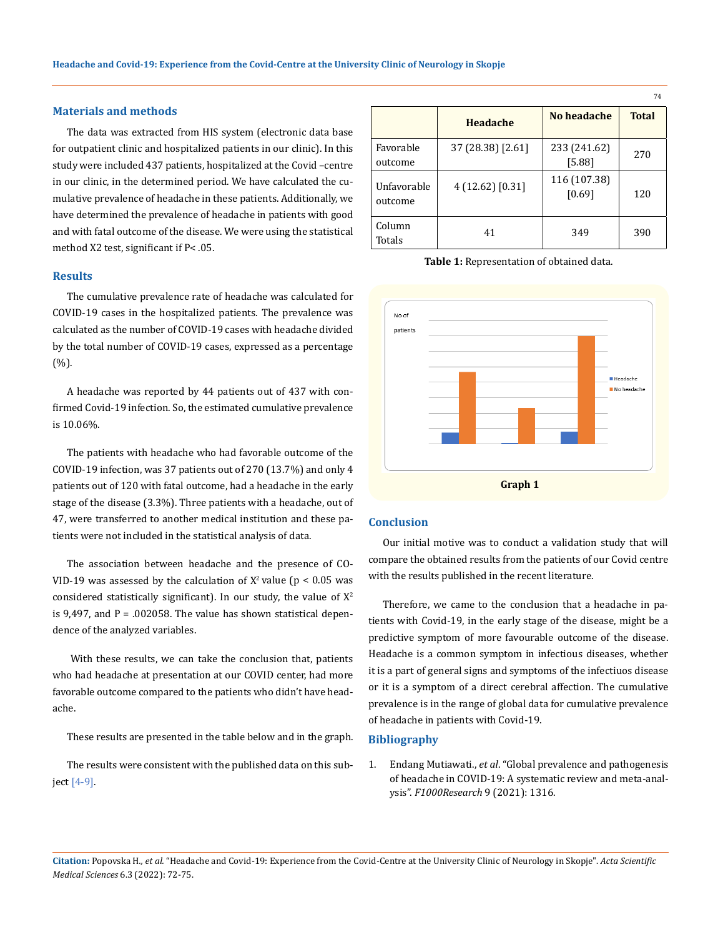## **Materials and methods**

The data was extracted from HIS system (electronic data base for outpatient clinic and hospitalized patients in our clinic). In this study were included 437 patients, hospitalized at the Covid –centre in our clinic, in the determined period. We have calculated the cumulative prevalence of headache in these patients. Additionally, we have determined the prevalence of headache in patients with good and with fatal outcome of the disease. We were using the statistical method X2 test, significant if P< .05.

#### **Results**

The cumulative prevalence rate of headache was calculated for COVID-19 cases in the hospitalized patients. The prevalence was calculated as the number of COVID-19 cases with headache divided by the total number of COVID-19 cases, expressed as a percentage (%).

A headache was reported by 44 patients out of 437 with confirmed Covid-19 infection. So, the estimated cumulative prevalence is 10.06%.

The patients with headache who had favorable outcome of the COVID-19 infection, was 37 patients out of 270 (13.7%) and only 4 patients out of 120 with fatal outcome, had a headache in the early stage of the disease (3.3%). Three patients with a headache, out of 47, were transferred to another medical institution and these patients were not included in the statistical analysis of data.

The association between headache and the presence of CO-VID-19 was assessed by the calculation of  $X^2$  value (p < 0.05 was considered statistically significant). In our study, the value of  $X^2$ is 9,497, and  $P = 0.002058$ . The value has shown statistical dependence of the analyzed variables.

 With these results, we can take the conclusion that, patients who had headache at presentation at our COVID center, had more favorable outcome compared to the patients who didn't have headache.

These results are presented in the table below and in the graph.

The results were consistent with the published data on this subject [4-9].

|                        |                   |                        | 74           |
|------------------------|-------------------|------------------------|--------------|
|                        | Headache          | No headache            | <b>Total</b> |
| Favorable<br>outcome   | 37 (28.38) [2.61] | 233 (241.62)<br>[5.88] | 270          |
| Unfavorable<br>outcome | 4(12.62)[0.31]    | 116 (107.38)<br>[0.69] | 120          |
| Column<br>Totals       | 41                | 349                    | 390          |

**Table 1:** Representation of obtained data.



#### **Conclusion**

Our initial motive was to conduct a validation study that will compare the obtained results from the patients of our Covid centre with the results published in the recent literature.

Therefore, we came to the conclusion that a headache in patients with Covid-19, in the early stage of the disease, might be a predictive symptom of more favourable outcome of the disease. Headache is a common symptom in infectious diseases, whether it is a part of general signs and symptoms of the infectiuos disease or it is a symptom of a direct cerebral affection. The cumulative prevalence is in the range of global data for cumulative prevalence of headache in patients with Covid-19.

#### **Bibliography**

1. Endang Mutiawati., *et al*[. "Global prevalence and pathogenesis](https://f1000research.com/articles/9-1316)  [of headache in COVID-19: A systematic review and meta-anal](https://f1000research.com/articles/9-1316)ysis". *[F1000Research](https://f1000research.com/articles/9-1316)* 9 (2021): 1316.

**Citation:** Popovska H*., et al.* "Headache and Covid-19: Experience from the Covid-Centre at the University Clinic of Neurology in Skopje". *Acta Scientific Medical Sciences* 6.3 (2022): 72-75.